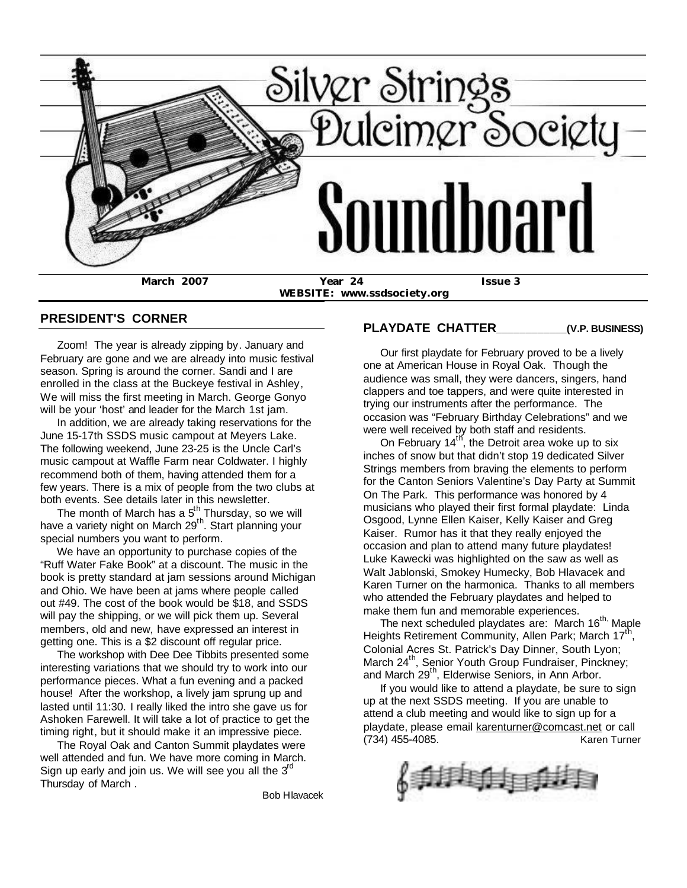

**WEBSITE: www.ssdsociety.org**

### **PRESIDENT'S CORNER**

 Zoom! The year is already zipping by. January and February are gone and we are already into music festival season. Spring is around the corner. Sandi and I are enrolled in the class at the Buckeye festival in Ashley, We will miss the first meeting in March. George Gonyo will be your 'host' and leader for the March 1st jam.

 In addition, we are already taking reservations for the June 15-17th SSDS music campout at Meyers Lake. The following weekend, June 23-25 is the Uncle Carl's music campout at Waffle Farm near Coldwater. I highly recommend both of them, having attended them for a few years. There is a mix of people from the two clubs at both events. See details later in this newsletter.

The month of March has a  $5<sup>th</sup>$  Thursday, so we will have a variety night on March 29<sup>th</sup>. Start planning your special numbers you want to perform.

 We have an opportunity to purchase copies of the "Ruff Water Fake Book" at a discount. The music in the book is pretty standard at jam sessions around Michigan and Ohio. We have been at jams where people called out #49. The cost of the book would be \$18, and SSDS will pay the shipping, or we will pick them up. Several members, old and new, have expressed an interest in getting one. This is a \$2 discount off regular price.

 The workshop with Dee Dee Tibbits presented some interesting variations that we should try to work into our performance pieces. What a fun evening and a packed house! After the workshop, a lively jam sprung up and lasted until 11:30. I really liked the intro she gave us for Ashoken Farewell. It will take a lot of practice to get the timing right, but it should make it an impressive piece.

 The Royal Oak and Canton Summit playdates were well attended and fun. We have more coming in March. Sign up early and join us. We will see you all the  $3^{rd}$ Thursday of March .

Bob Hlavacek

### **PLAYDATE CHATTER\_\_\_\_\_\_\_\_\_\_\_\_(V.P. BUSINESS)**

 Our first playdate for February proved to be a lively one at American House in Royal Oak. Though the audience was small, they were dancers, singers, hand clappers and toe tappers, and were quite interested in trying our instruments after the performance. The occasion was "February Birthday Celebrations" and we were well received by both staff and residents.

On February  $14<sup>th</sup>$ , the Detroit area woke up to six inches of snow but that didn't stop 19 dedicated Silver Strings members from braving the elements to perform for the Canton Seniors Valentine's Day Party at Summit On The Park. This performance was honored by 4 musicians who played their first formal playdate: Linda Osgood, Lynne Ellen Kaiser, Kelly Kaiser and Greg Kaiser. Rumor has it that they really enjoyed the occasion and plan to attend many future playdates! Luke Kawecki was highlighted on the saw as well as Walt Jablonski, Smokey Humecky, Bob Hlavacek and Karen Turner on the harmonica. Thanks to all members who attended the February playdates and helped to make them fun and memorable experiences.

The next scheduled playdates are: March  $16^{th}$  Maple Heights Retirement Community, Allen Park; March 17<sup>th</sup>, Colonial Acres St. Patrick's Day Dinner, South Lyon; March 24<sup>th</sup>, Senior Youth Group Fundraiser, Pinckney; and March 29<sup>th</sup>, Elderwise Seniors, in Ann Arbor.

 If you would like to attend a playdate, be sure to sign up at the next SSDS meeting. If you are unable to attend a club meeting and would like to sign up for a playdate, please email karenturner@comcast.net or call (734) 455-4085. Karen Turner

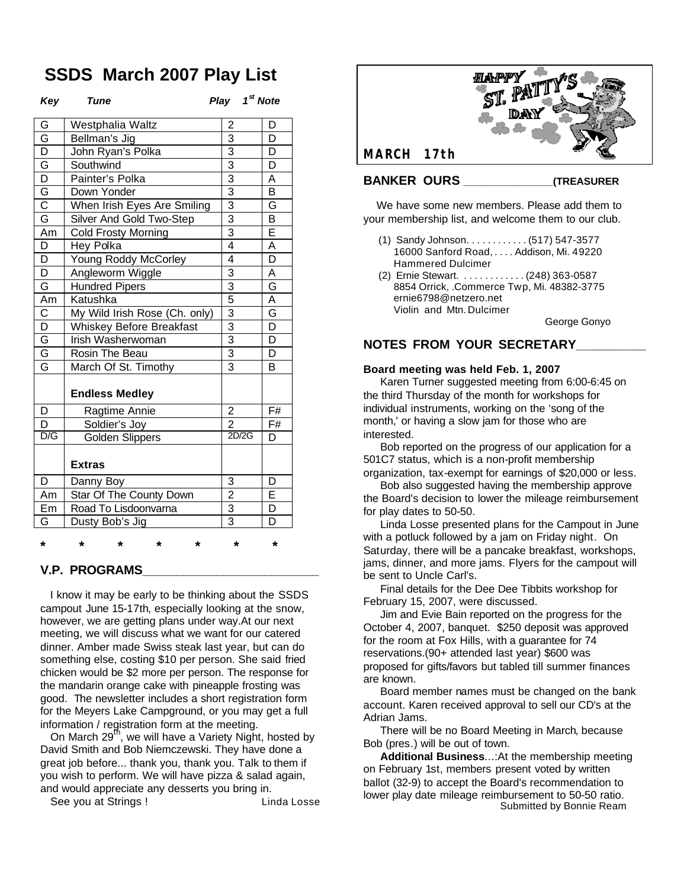# **SSDS March 2007 Play List**

| Kev |  |
|-----|--|
|-----|--|

*Key Tune Play 1st Note*

| G                       | Westphalia Waltz              | $\overline{\mathbf{c}}$   | D                       |
|-------------------------|-------------------------------|---------------------------|-------------------------|
| G                       | Bellman's Jig                 | $\overline{3}$            | D                       |
| $\overline{\mathsf{D}}$ | John Ryan's Polka             | $\overline{3}$            | D                       |
| $rac{G}{D}$             | Southwind                     | $\frac{3}{3}$             | D                       |
|                         | Painter's Polka               |                           | $\overline{\mathsf{A}}$ |
| G                       | Down Yonder                   | $\overline{3}$            | $\overline{\mathsf{B}}$ |
| $\overline{C}$          | When Irish Eyes Are Smiling   | $\overline{3}$            | G                       |
| $\overline{\mathsf{G}}$ | Silver And Gold Two-Step      | 3                         | B                       |
| Am                      | <b>Cold Frosty Morning</b>    | 3                         | E                       |
| $\overline{\mathsf{D}}$ | Hey Polka                     | $\overline{4}$            | A                       |
| $\overline{\mathsf{D}}$ | Young Roddy McCorley          | 4                         | D                       |
| $\overline{\mathsf{D}}$ | Angleworm Wiggle              | $\overline{3}$            | A                       |
| $\overline{\mathsf{G}}$ | Hundred Pipers                | 3                         | G                       |
| Am                      | Katushka                      | $\overline{5}$            | A                       |
| $\overline{\text{c}}$   | My Wild Irish Rose (Ch. only) | $\overline{3}$            | G                       |
| $\overline{\mathsf{D}}$ | Whiskey Before Breakfast      | $\overline{\overline{3}}$ | $\overline{\mathsf{D}}$ |
| G                       | Irish Washerwoman             | $\overline{3}$            | $\overline{\mathsf{D}}$ |
| $\overline{\mathsf{G}}$ | Rosin The Beau                | $\overline{3}$            | D                       |
| $\overline{\mathsf{G}}$ | March Of St. Timothy          | $\overline{3}$            | B                       |
|                         | <b>Endless Medley</b>         |                           |                         |
| D                       | Ragtime Annie                 | $\overline{2}$            | F#                      |
| D                       | Soldier's Joy                 | $\overline{2}$            | F#                      |
| D/G                     | <b>Golden Slippers</b>        | 2D/2G                     | D                       |
|                         | <b>Extras</b>                 |                           |                         |
| D                       | Danny Boy                     | 3                         | D                       |
| Am                      | Star Of The County Down       | $\overline{2}$            | Ē                       |
| Em                      | Road To Lisdoonvarna          | $\overline{3}$            | D                       |
| G                       | Dusty Bob's Jig               | $\overline{3}$            | D                       |
|                         |                               |                           |                         |

#### **V.P. PROGRAMS\_\_\_\_\_\_\_\_\_\_\_\_\_\_\_\_\_\_\_\_\_\_\_\_\_\_**

 I know it may be early to be thinking about the SSDS campout June 15-17th, especially looking at the snow, however, we are getting plans under way.At our next meeting, we will discuss what we want for our catered dinner. Amber made Swiss steak last year, but can do something else, costing \$10 per person. She said fried chicken would be \$2 more per person. The response for the mandarin orange cake with pineapple frosting was good. The newsletter includes a short registration form for the Meyers Lake Campground, or you may get a full information / registration form at the meeting.

**\* \* \* \* \* \* \***

On March 29<sup>th</sup>, we will have a Variety Night, hosted by David Smith and Bob Niemczewski. They have done a great job before... thank you, thank you. Talk to them if you wish to perform. We will have pizza & salad again, and would appreciate any desserts you bring in.

See you at Strings ! Linda Losse



 We have some new members. Please add them to your membership list, and welcome them to our club.

- (1) Sandy Johnson. . . . . . . . . . . . (517) 547-3577 16000 Sanford Road, . . . . Addison, Mi. 49220 Hammered Dulcimer
- (2) Ernie Stewart. . . . . . . . . . . . . (248) 363-0587 8854 Orrick, .Commerce Twp, Mi. 48382-3775 ernie6798@netzero.net Violin and Mtn. Dulcimer

George Gonyo

### **NOTES FROM YOUR SECRETARY\_\_\_\_\_\_\_\_\_\_**

#### **Board meeting was held Feb. 1, 2007**

 Karen Turner suggested meeting from 6:00-6:45 on the third Thursday of the month for workshops for individual instruments, working on the 'song of the month,' or having a slow jam for those who are interested.

 Bob reported on the progress of our application for a 501C7 status, which is a non-profit membership organization, tax-exempt for earnings of \$20,000 or less.

 Bob also suggested having the membership approve the Board's decision to lower the mileage reimbursement for play dates to 50-50.

 Linda Losse presented plans for the Campout in June with a potluck followed by a jam on Friday night. On Saturday, there will be a pancake breakfast, workshops, jams, dinner, and more jams. Flyers for the campout will be sent to Uncle Carl's.

 Final details for the Dee Dee Tibbits workshop for February 15, 2007, were discussed.

 Jim and Evie Bain reported on the progress for the October 4, 2007, banquet. \$250 deposit was approved for the room at Fox Hills, with a guarantee for 74 reservations.(90+ attended last year) \$600 was proposed for gifts/favors but tabled till summer finances are known.

 Board member names must be changed on the bank account. Karen received approval to sell our CD's at the Adrian Jams.

 There will be no Board Meeting in March, because Bob (pres.) will be out of town.

 **Additional Business**...:At the membership meeting on February 1st, members present voted by written ballot (32-9) to accept the Board's recommendation to lower play date mileage reimbursement to 50-50 ratio. Submitted by Bonnie Ream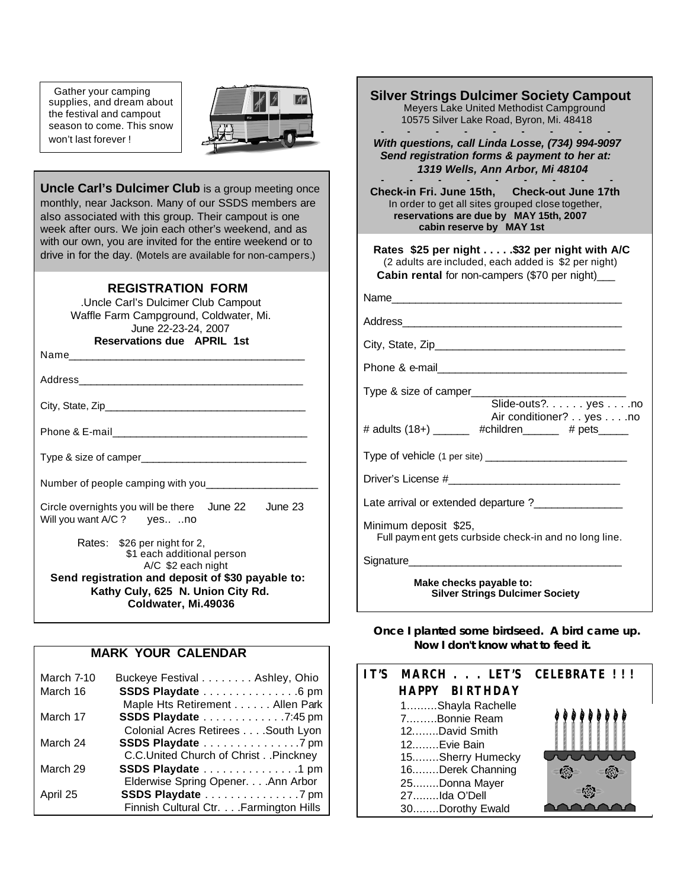Gather your camping supplies, and dream about the festival and campout season to come. This snow won't last forever !



**Uncle Carl's Dulcimer Club** is a group meeting once monthly, near Jackson. Many of our SSDS members are also associated with this group. Their campout is one week after ours. We join each other's weekend, and as with our own, you are invited for the entire weekend or to drive in for the day. (Motels are available for non-campers.)

j

### **REGISTRATION FORM**

 .Uncle Carl's Dulcimer Club Campout Waffle Farm Campground, Coldwater, Mi. June 22-23-24, 2007 **Reservations due APRIL 1st**

Name

Address\_\_\_\_\_\_\_\_\_\_\_\_\_\_\_\_\_\_\_\_\_\_\_\_\_\_\_\_\_\_\_\_\_\_\_\_\_\_

City, State, Zip\_\_\_\_\_\_\_\_\_\_\_\_\_\_\_\_\_\_\_\_\_\_\_\_\_\_\_\_\_\_\_\_\_\_

Phone & E-mail

Type & size of camper\_\_\_\_\_\_\_\_\_\_\_\_\_\_\_\_\_\_\_\_\_\_\_\_\_\_\_\_

Number of people camping with you\_\_\_\_\_\_\_\_\_\_\_\_\_\_\_\_\_\_\_

Circle overnights you will be there June 22 June 23 Will you want A/C ? yes.. ..no

 Rates: \$26 per night for 2, \$1 each additional person A/C \$2 each night **Send registration and deposit of \$30 payable to: Kathy Culy, 625 N. Union City Rd. Coldwater, Mi.49036**

### **MARK YOUR CALENDAR**

| March 7-10 | Buckeye Festival Ashley, Ohio           |
|------------|-----------------------------------------|
| March 16   | SSDS Playdate 6 pm                      |
|            | Maple Hts Retirement Allen Park         |
| March 17   | SSDS Playdate 7:45 pm                   |
|            | Colonial Acres Retirees South Lyon      |
| March 24   | SSDS Playdate 7 pm                      |
|            | C.C.United Church of Christ. . Pinckney |
| March 29   | SSDS Playdate 1 pm                      |
|            | Elderwise Spring Opener. Ann Arbor      |
| April 25   | SSDS Playdate 7 pm                      |
|            | Finnish Cultural Ctr. Farmington Hills  |

| <b>Silver Strings Dulcimer Society Campout</b><br>Meyers Lake United Methodist Campground<br>10575 Silver Lake Road, Byron, Mi. 48418                                   |  |  |  |  |
|-------------------------------------------------------------------------------------------------------------------------------------------------------------------------|--|--|--|--|
| With questions, call Linda Losse, (734) 994-9097<br>Send registration forms & payment to her at:<br>1319 Wells, Ann Arbor, Mi 48104                                     |  |  |  |  |
| Check-in Fri. June 15th, Check-out June 17th<br>In order to get all sites grouped close together,<br>reservations are due by MAY 15th, 2007<br>cabin reserve by MAY 1st |  |  |  |  |
| Rates \$25 per night \$32 per night with A/C<br>(2 adults are included, each added is \$2 per night)<br>Cabin rental for non-campers (\$70 per night)_                  |  |  |  |  |
|                                                                                                                                                                         |  |  |  |  |
|                                                                                                                                                                         |  |  |  |  |
|                                                                                                                                                                         |  |  |  |  |
|                                                                                                                                                                         |  |  |  |  |
| Type & size of camper____                                                                                                                                               |  |  |  |  |
| Slide-outs?. yes no<br>Air conditioner? yesno<br># adults (18+) ______ #children _____ # pets ____                                                                      |  |  |  |  |
|                                                                                                                                                                         |  |  |  |  |
|                                                                                                                                                                         |  |  |  |  |
| Late arrival or extended departure ?________________                                                                                                                    |  |  |  |  |
| Minimum deposit \$25,<br>Full payment gets curbside check-in and no long line.                                                                                          |  |  |  |  |
|                                                                                                                                                                         |  |  |  |  |
| Make checks payable to:<br><b>Silver Strings Dulcimer Society</b>                                                                                                       |  |  |  |  |

 **Once I planted some birdseed. A bird came up. Now I don't know what to feed it.**

| IT'S MARCH LET'S CELEBRATE !!! |  |
|--------------------------------|--|
| <b>HAPPY BIRTHDAY</b>          |  |
| 1Shayla Rachelle               |  |
| 7Bonnie Ream                   |  |
| 12David Smith                  |  |
| 12Evie Bain                    |  |
| 15Sherry Humecky               |  |
| 16Derek Channing               |  |
| 25Donna Mayer                  |  |
| 27Ida O'Dell                   |  |
| 30Dorothy Ewald                |  |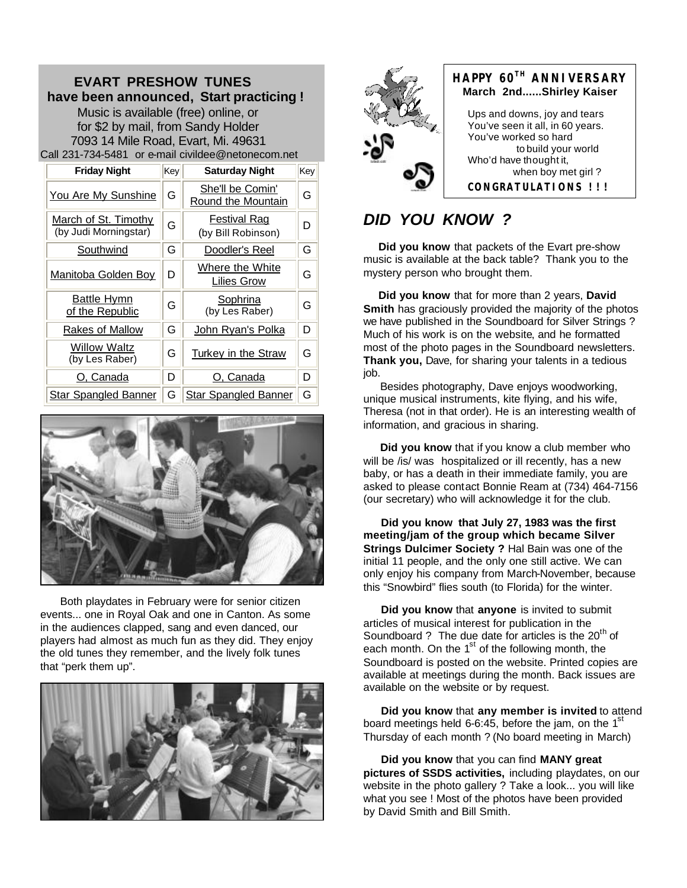### **EVART PRESHOW TUNES have been announced, Start practicing !**  Music is available (free) online, or for \$2 by mail, from Sandy Holder 7093 14 Mile Road, Evart, Mi. 49631 Call 231-734-5481 or e-mail civildee@netonecom.net

**Friday Night Key Saturday Night Key** You Are My Sunshine  $\|G\|$  She'll be Comin' Round the Mountain G March of St. Timothy G Festival Rag<br>(by Judi Morningstar) G (by Bill Robinso **Festival Rag**<br>(by Bill Robinson) **D** Southwind  $\|G\|$  Doodler's Reel  $\|G\|$ Manitoba Golden Boy  $\left\| D \right\|$  Where the White Lilies Grow G Battle Hymn **Battle Hymn** G Sophrina<br>of the Republic G (by Les Rabe <u>oopmina</u><br>(by Les Raber) │ G Rakes of Mallow  $\|\mathsf{G}\|$  John Ryan's Polka  $\|\mathsf{D}\|$ **Willow Waltz**<br>(by Les Raber)  $G \parallel$  Turkey in the Straw  $\parallel G$ O, Canada D O, Canada D Star Spangled Banner G Star Spangled Banner



 Both playdates in February were for senior citizen events... one in Royal Oak and one in Canton. As some in the audiences clapped, sang and even danced, our players had almost as much fun as they did. They enjoy the old tunes they remember, and the lively folk tunes that "perk them up".





# *DID YOU KNOW ?*

 **Did you know** that packets of the Evart pre-show music is available at the back table? Thank you to the mystery person who brought them.

 **Did you know** that for more than 2 years, **David Smith** has graciously provided the majority of the photos we have published in the Soundboard for Silver Strings ? Much of his work is on the website, and he formatted most of the photo pages in the Soundboard newsletters. **Thank you,** Dave, for sharing your talents in a tedious job.

 Besides photography, Dave enjoys woodworking, unique musical instruments, kite flying, and his wife, Theresa (not in that order). He is an interesting wealth of information, and gracious in sharing.

 **Did you know** that if you know a club member who will be /is/ was hospitalized or ill recently, has a new baby, or has a death in their immediate family, you are asked to please contact Bonnie Ream at (734) 464-7156 (our secretary) who will acknowledge it for the club.

 **Did you know that July 27, 1983 was the first meeting/jam of the group which became Silver Strings Dulcimer Society ?** Hal Bain was one of the initial 11 people, and the only one still active. We can only enjoy his company from March-November, because this "Snowbird" flies south (to Florida) for the winter.

 **Did you know** that **anyone** is invited to submit articles of musical interest for publication in the Soundboard ? The due date for articles is the  $20<sup>th</sup>$  of each month. On the  $1<sup>st</sup>$  of the following month, the Soundboard is posted on the website. Printed copies are available at meetings during the month. Back issues are available on the website or by request.

 **Did you know** that **any member is invited** to attend board meetings held 6-6:45, before the jam, on the  $1<sup>st</sup>$ Thursday of each month ? (No board meeting in March)

 **Did you know** that you can find **MANY great pictures of SSDS activities,** including playdates, on our website in the photo gallery ? Take a look... you will like what you see ! Most of the photos have been provided by David Smith and Bill Smith.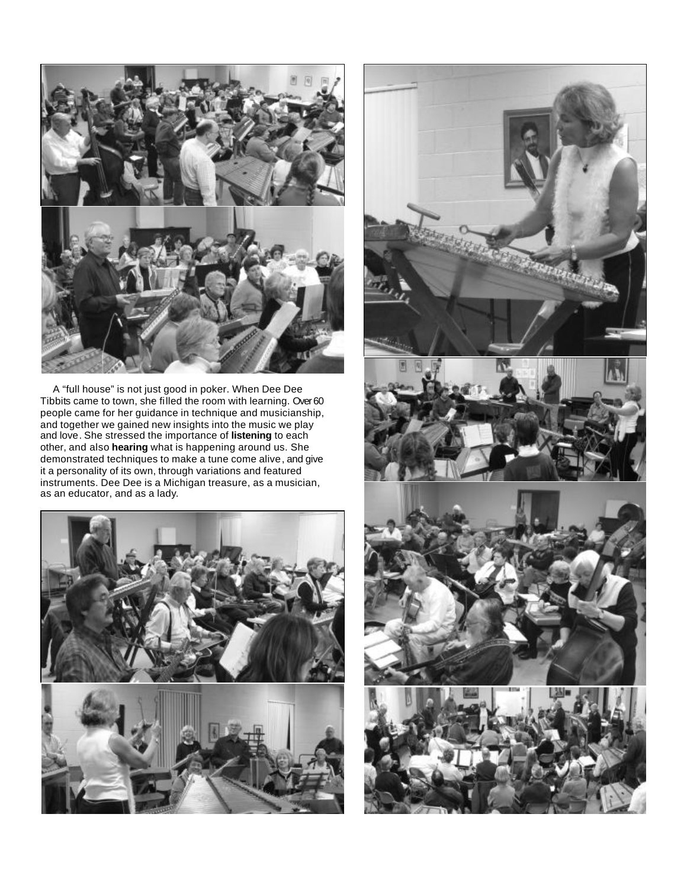

 A "full house" is not just good in poker. When Dee Dee Tibbits came to town, she filled the room with learning. Over 60 people came for her guidance in technique and musicianship, and together we gained new insights into the music we play and love. She stressed the importance of **listening** to each other, and also **hearing** what is happening around us. She demonstrated techniques to make a tune come alive, and give it a personality of its own, through variations and featured instruments. Dee Dee is a Michigan treasure, as a musician, as an educator, and as a lady.